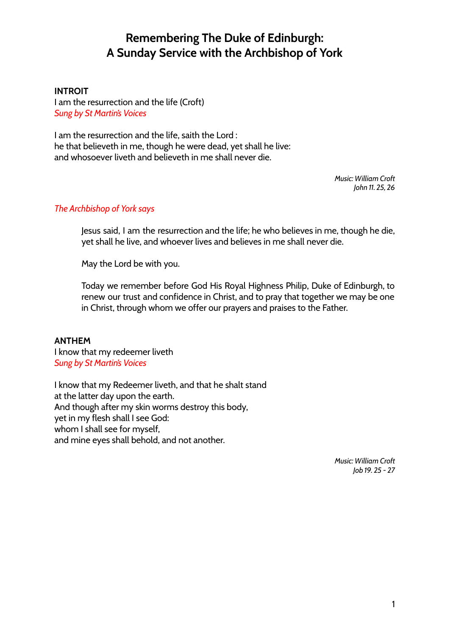# **Remembering The Duke of Edinburgh: A Sunday Service with the Archbishop of York**

### **INTROIT**

I am the resurrection and the life (Croft) *Sung by St Martin's Voices*

I am the resurrection and the life, saith the Lord : he that believeth in me, though he were dead, yet shall he live: and whosoever liveth and believeth in me shall never die.

> *Music: William Croft John 11. 25, 26*

### *The Archbishop of York says*

Jesus said, I am the resurrection and the life; he who believes in me, though he die, yet shall he live, and whoever lives and believes in me shall never die.

May the Lord be with you.

Today we remember before God His Royal Highness Philip, Duke of Edinburgh, to renew our trust and confidence in Christ, and to pray that together we may be one in Christ, through whom we offer our prayers and praises to the Father.

#### **ANTHEM**

I know that my redeemer liveth *Sung by St Martin's Voices*

I know that my Redeemer liveth, and that he shalt stand at the latter day upon the earth. And though after my skin worms destroy this body, yet in my flesh shall I see God: whom I shall see for myself, and mine eyes shall behold, and not another.

> *Music: William Croft Job 19. 25 - 27*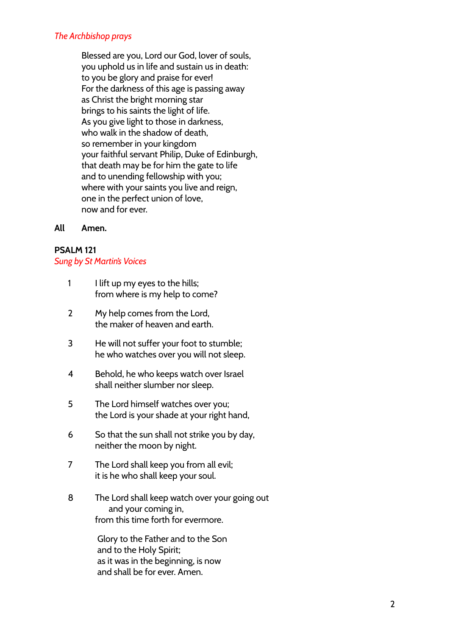### *The Archbishop prays*

Blessed are you, Lord our God, lover of souls, you uphold us in life and sustain us in death: to you be glory and praise for ever! For the darkness of this age is passing away as Christ the bright morning star brings to his saints the light of life. As you give light to those in darkness, who walk in the shadow of death, so remember in your kingdom your faithful servant Philip, Duke of Edinburgh, that death may be for him the gate to life and to unending fellowship with you; where with your saints you live and reign, one in the perfect union of love, now and for ever.

### **All Amen.**

### **PSALM 121**

### *Sung by St Martin's Voices*

- 1 I lift up my eyes to the hills; from where is my help to come?
- 2 My help comes from the Lord, the maker of heaven and earth.
- 3 He will not suffer your foot to stumble; he who watches over you will not sleep.
- 4 Behold, he who keeps watch over Israel shall neither slumber nor sleep.
- 5 The Lord himself watches over you; the Lord is your shade at your right hand,
- 6 So that the sun shall not strike you by day, neither the moon by night.
- 7 The Lord shall keep you from all evil; it is he who shall keep your soul.
- 8 The Lord shall keep watch over your going out and your coming in, from this time forth for evermore.

Glory to the Father and to the Son and to the Holy Spirit; as it was in the beginning, is now and shall be for ever. Amen.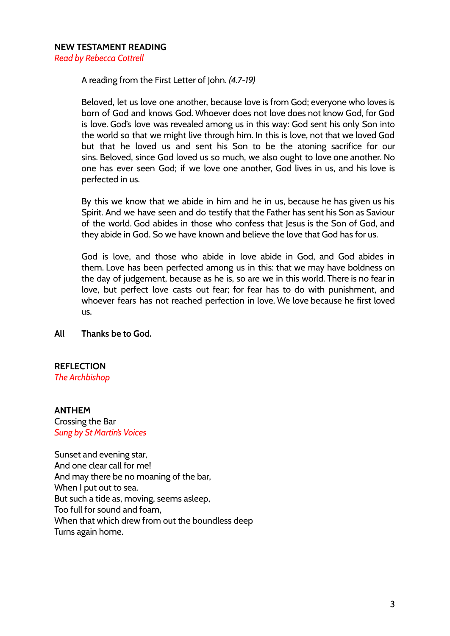A reading from the First Letter of John. *(4.7-19)*

Beloved, let us love one another, because love is from God; everyone who loves is born of God and knows God. Whoever does not love does not know God, for God is love. God's love was revealed among us in this way: God sent his only Son into the world so that we might live through him. In this is love, not that we loved God but that he loved us and sent his Son to be the atoning sacrifice for our sins. Beloved, since God loved us so much, we also ought to love one another. No one has ever seen God; if we love one another, God lives in us, and his love is perfected in us.

By this we know that we abide in him and he in us, because he has given us his Spirit. And we have seen and do testify that the Father has sent his Son as Saviour of the world. God abides in those who confess that Jesus is the Son of God, and they abide in God. So we have known and believe the love that God has for us.

God is love, and those who abide in love abide in God, and God abides in them. Love has been perfected among us in this: that we may have boldness on the day of judgement, because as he is, so are we in this world. There is no fear in love, but perfect love casts out fear; for fear has to do with punishment, and whoever fears has not reached perfection in love. We love because he first loved us.

### **All Thanks be to God.**

## **REFLECTION**

*The Archbishop*

### **ANTHEM**

Crossing the Bar *Sung by St Martin's Voices*

Sunset and evening star, And one clear call for me! And may there be no moaning of the bar, When I put out to sea. But such a tide as, moving, seems asleep, Too full for sound and foam, When that which drew from out the boundless deep Turns again home.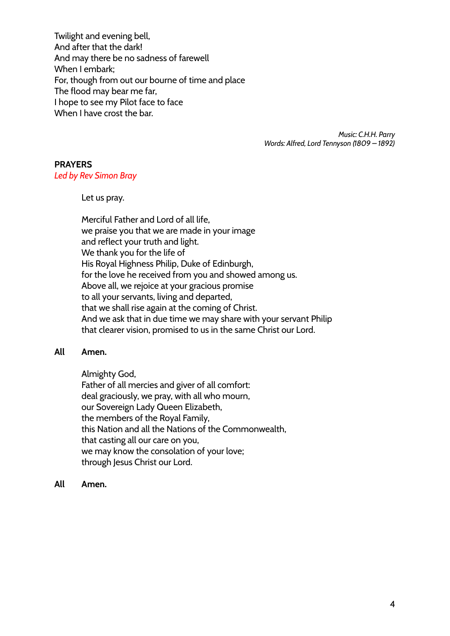Twilight and evening bell, And after that the dark! And may there be no sadness of farewell When I embark; For, though from out our bourne of time and place The flood may bear me far, I hope to see my Pilot face to face When I have crost the bar.

> *Music: C.H.H. Parry Words: Alfred, Lord Tennyson (1809 – 1892)*

### **PRAYERS**

*Led by Rev Simon Bray*

Let us pray.

Merciful Father and Lord of all life, we praise you that we are made in your image and reflect your truth and light. We thank you for the life of His Royal Highness Philip, Duke of Edinburgh, for the love he received from you and showed among us. Above all, we rejoice at your gracious promise to all your servants, living and departed, that we shall rise again at the coming of Christ. And we ask that in due time we may share with your servant Philip that clearer vision, promised to us in the same Christ our Lord.

### **All Amen.**

Almighty God, Father of all mercies and giver of all comfort: deal graciously, we pray, with all who mourn, our Sovereign Lady Queen Elizabeth, the members of the Royal Family, this Nation and all the Nations of the Commonwealth, that casting all our care on you, we may know the consolation of your love; through Jesus Christ our Lord.

**All Amen.**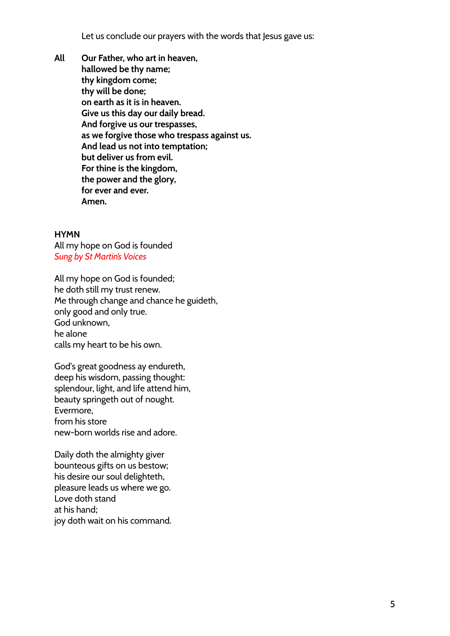Let us conclude our prayers with the words that Jesus gave us:

**All Our Father, who art in heaven, hallowed be thy name; thy kingdom come; thy will be done; on earth as it is in heaven. Give us this day our daily bread. And forgive us our trespasses, as we forgive those who trespass against us. And lead us not into temptation; but deliver us from evil. For thine is the kingdom, the power and the glory, for ever and ever. Amen.**

### **HYMN**

All my hope on God is founded *Sung by St Martin's Voices*

All my hope on God is founded; he doth still my trust renew. Me through change and chance he guideth, only good and only true. God unknown, he alone calls my heart to be his own.

God's great goodness ay endureth, deep his wisdom, passing thought: splendour, light, and life attend him, beauty springeth out of nought. Evermore, from his store new-born worlds rise and adore.

Daily doth the almighty giver bounteous gifts on us bestow; his desire our soul delighteth, pleasure leads us where we go. Love doth stand at his hand; joy doth wait on his command.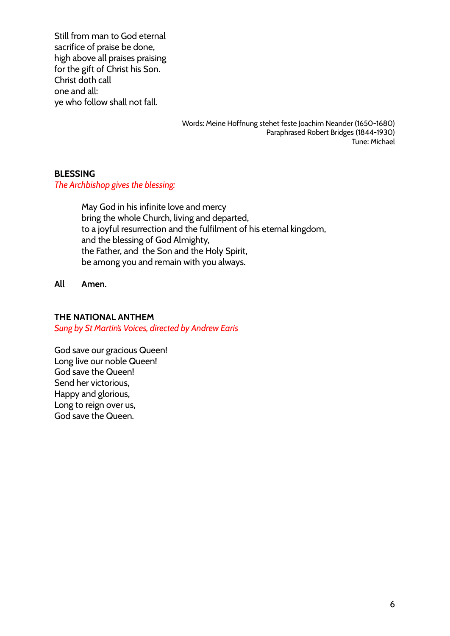Still from man to God eternal sacrifice of praise be done, high above all praises praising for the gift of Christ his Son. Christ doth call one and all: ye who follow shall not fall.

> Words: Meine Hoffnung stehet feste Joachim Neander (1650-1680) Paraphrased Robert Bridges (1844-1930) Tune: Michael

### **BLESSING**

*The Archbishop gives the blessing:*

May God in his infinite love and mercy bring the whole Church, living and departed, to a joyful resurrection and the fulfilment of his eternal kingdom, and the blessing of God Almighty, the Father, and the Son and the Holy Spirit, be among you and remain with you always.

**All Amen.**

#### **THE NATIONAL ANTHEM**

*Sung by St Martin's Voices, directed by Andrew Earis*

God save our gracious Queen! Long live our noble Queen! God save the Queen! Send her victorious, Happy and glorious, Long to reign over us, God save the Queen.